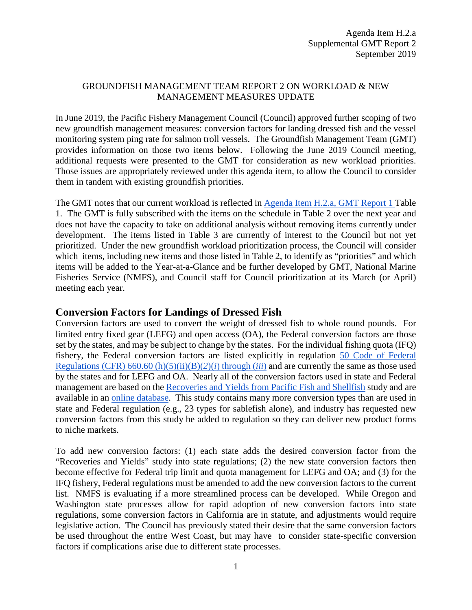### GROUNDFISH MANAGEMENT TEAM REPORT 2 ON WORKLOAD & NEW MANAGEMENT MEASURES UPDATE

In June 2019, the Pacific Fishery Management Council (Council) approved further scoping of two new groundfish management measures: conversion factors for landing dressed fish and the vessel monitoring system ping rate for salmon troll vessels. The Groundfish Management Team (GMT) provides information on those two items below. Following the June 2019 Council meeting, additional requests were presented to the GMT for consideration as new workload priorities. Those issues are appropriately reviewed under this agenda item, to allow the Council to consider them in tandem with existing groundfish priorities.

The GMT notes that our current workload is reflected in [Agenda Item H.2.a,](https://www.pcouncil.org/wp-content/uploads/2019/08/H2a_GMT_Rpt1_SEPT2019BB.pdf) GMT Report 1 Table 1. The GMT is fully subscribed with the items on the schedule in Table 2 over the next year and does not have the capacity to take on additional analysis without removing items currently under development. The items listed in Table 3 are currently of interest to the Council but not yet prioritized. Under the new groundfish workload prioritization process, the Council will consider which items, including new items and those listed in Table 2, to identify as "priorities" and which items will be added to the Year-at-a-Glance and be further developed by GMT, National Marine Fisheries Service (NMFS), and Council staff for Council prioritization at its March (or April) meeting each year.

## **Conversion Factors for Landings of Dressed Fish**

Conversion factors are used to convert the weight of dressed fish to whole round pounds. For limited entry fixed gear (LEFG) and open access (OA), the Federal conversion factors are those set by the states, and may be subject to change by the states. For the individual fishing quota (IFQ) fishery, the Federal conversion factors are listed explicitly in regulation [50 Code of Federal](https://www.ecfr.gov/cgi-bin/retrieveECFR?gp=&SID=9a47f18579b714f5ec55236d9a42c1ca&mc=true&n=pt50.13.660&r=PART&ty=HTML#se50.13.660_113)  [Regulations \(CFR\) 660.60 \(h\)\(5\)\(ii\)\(B\)\(](https://www.ecfr.gov/cgi-bin/retrieveECFR?gp=&SID=9a47f18579b714f5ec55236d9a42c1ca&mc=true&n=pt50.13.660&r=PART&ty=HTML#se50.13.660_113)*[2](https://www.ecfr.gov/cgi-bin/retrieveECFR?gp=&SID=9a47f18579b714f5ec55236d9a42c1ca&mc=true&n=pt50.13.660&r=PART&ty=HTML#se50.13.660_113)*[\)\(](https://www.ecfr.gov/cgi-bin/retrieveECFR?gp=&SID=9a47f18579b714f5ec55236d9a42c1ca&mc=true&n=pt50.13.660&r=PART&ty=HTML#se50.13.660_113)*[i](https://www.ecfr.gov/cgi-bin/retrieveECFR?gp=&SID=9a47f18579b714f5ec55236d9a42c1ca&mc=true&n=pt50.13.660&r=PART&ty=HTML#se50.13.660_113)*[\) through \(](https://www.ecfr.gov/cgi-bin/retrieveECFR?gp=&SID=9a47f18579b714f5ec55236d9a42c1ca&mc=true&n=pt50.13.660&r=PART&ty=HTML#se50.13.660_113)*[iii](https://www.ecfr.gov/cgi-bin/retrieveECFR?gp=&SID=9a47f18579b714f5ec55236d9a42c1ca&mc=true&n=pt50.13.660&r=PART&ty=HTML#se50.13.660_113)*[\)](https://www.ecfr.gov/cgi-bin/retrieveECFR?gp=&SID=9a47f18579b714f5ec55236d9a42c1ca&mc=true&n=pt50.13.660&r=PART&ty=HTML#se50.13.660_113) and are currently the same as those used by the states and for LEFG and OA. Nearly all of the conversion factors used in state and Federal management are based on the [Recoveries and Yields from Pacific Fish and Shellfish](https://seagrant.uaf.edu/bookstore/pubs/MAB-37.html) study and are available in an [online database.](https://www.commerce.alaska.gov/web/ded/DEV/FisheriesDevelopment/SeafoodProcessingRecoveryRatesYields.aspx) This study contains many more conversion types than are used in state and Federal regulation (e.g., 23 types for sablefish alone), and industry has requested new conversion factors from this study be added to regulation so they can deliver new product forms to niche markets.

To add new conversion factors: (1) each state adds the desired conversion factor from the "Recoveries and Yields" study into state regulations; (2) the new state conversion factors then become effective for Federal trip limit and quota management for LEFG and OA; and (3) for the IFQ fishery, Federal regulations must be amended to add the new conversion factors to the current list. NMFS is evaluating if a more streamlined process can be developed. While Oregon and Washington state processes allow for rapid adoption of new conversion factors into state regulations, some conversion factors in California are in statute, and adjustments would require legislative action. The Council has previously stated their desire that the same conversion factors be used throughout the entire West Coast, but may have to consider state-specific conversion factors if complications arise due to different state processes.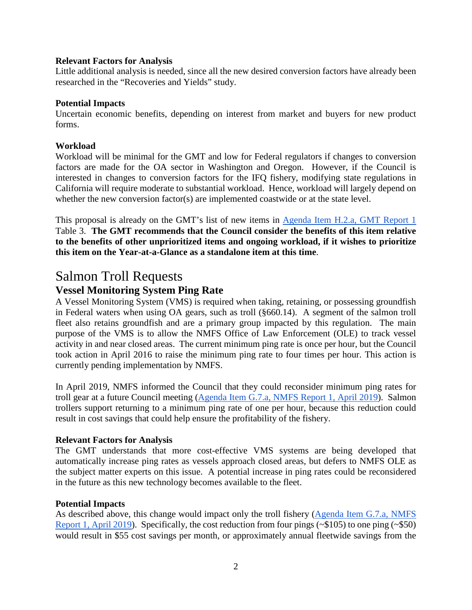#### **Relevant Factors for Analysis**

Little additional analysis is needed, since all the new desired conversion factors have already been researched in the "Recoveries and Yields" study.

#### **Potential Impacts**

Uncertain economic benefits, depending on interest from market and buyers for new product forms.

#### **Workload**

Workload will be minimal for the GMT and low for Federal regulators if changes to conversion factors are made for the OA sector in Washington and Oregon. However, if the Council is interested in changes to conversion factors for the IFQ fishery, modifying state regulations in California will require moderate to substantial workload. Hence, workload will largely depend on whether the new conversion factor(s) are implemented coastwide or at the state level.

This proposal is already on the GMT's list of new items in [Agenda Item H.2.a,](https://www.pcouncil.org/wp-content/uploads/2019/08/H2a_GMT_Rpt1_SEPT2019BB.pdf) GMT Report 1 Table 3. **The GMT recommends that the Council consider the benefits of this item relative to the benefits of other unprioritized items and ongoing workload, if it wishes to prioritize this item on the Year-at-a-Glance as a standalone item at this time**.

## Salmon Troll Requests

## **Vessel Monitoring System Ping Rate**

A Vessel Monitoring System (VMS) is required when taking, retaining, or possessing groundfish in Federal waters when using OA gears, such as troll (§660.14). A segment of the salmon troll fleet also retains groundfish and are a primary group impacted by this regulation. The main purpose of the VMS is to allow the NMFS Office of Law Enforcement (OLE) to track vessel activity in and near closed areas. The current minimum ping rate is once per hour, but the Council took action in April 2016 to raise the minimum ping rate to four times per hour. This action is currently pending implementation by NMFS.

In April 2019, NMFS informed the Council that they could reconsider minimum ping rates for troll gear at a future Council meeting [\(Agenda Item G.7.a, NMFS Report 1, April 2019\)](https://www.pcouncil.org/wp-content/uploads/2019/03/G7a_NMFS_Rpt1_VMM_APR2019BB.pdf). Salmon trollers support returning to a minimum ping rate of one per hour, because this reduction could result in cost savings that could help ensure the profitability of the fishery.

#### **Relevant Factors for Analysis**

The GMT understands that more cost-effective VMS systems are being developed that automatically increase ping rates as vessels approach closed areas, but defers to NMFS OLE as the subject matter experts on this issue. A potential increase in ping rates could be reconsidered in the future as this new technology becomes available to the fleet.

#### **Potential Impacts**

As described above, this change would impact only the troll fishery [\(Agenda Item G.7.a, NMFS](https://www.pcouncil.org/wp-content/uploads/2019/03/G7a_NMFS_Rpt1_VMM_APR2019BB.pdf)  [Report 1, April 2019\)](https://www.pcouncil.org/wp-content/uploads/2019/03/G7a_NMFS_Rpt1_VMM_APR2019BB.pdf). Specifically, the cost reduction from four pings (~\$105) to one ping (~\$50) would result in \$55 cost savings per month, or approximately annual fleetwide savings from the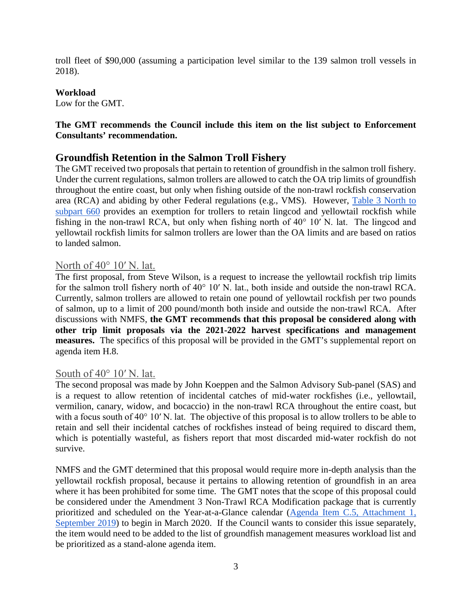troll fleet of \$90,000 (assuming a participation level similar to the 139 salmon troll vessels in 2018).

#### **Workload**

Low for the GMT.

## **The GMT recommends the Council include this item on the list subject to Enforcement Consultants' recommendation.**

## **Groundfish Retention in the Salmon Troll Fishery**

The GMT received two proposals that pertain to retention of groundfish in the salmon troll fishery. Under the current regulations, salmon trollers are allowed to catch the OA trip limits of groundfish throughout the entire coast, but only when fishing outside of the non-trawl rockfish conservation area (RCA) and abiding by other Federal regulations (e.g., VMS). However, [Table 3 North to](https://www.ecfr.gov/cgi-bin/text-idx?SID=d6ec581b5aa17518c9dd071a690b559d&mc=true&node=ap50.13.660_1333.1&rgn=div9)  [subpart 660](https://www.ecfr.gov/cgi-bin/text-idx?SID=d6ec581b5aa17518c9dd071a690b559d&mc=true&node=ap50.13.660_1333.1&rgn=div9) provides an exemption for trollers to retain lingcod and yellowtail rockfish while fishing in the non-trawl RCA, but only when fishing north of 40° 10′ N. lat. The lingcod and yellowtail rockfish limits for salmon trollers are lower than the OA limits and are based on ratios to landed salmon.

## North of 40<sup>°</sup> 10′ N. lat.

The first proposal, from Steve Wilson, is a request to increase the yellowtail rockfish trip limits for the salmon troll fishery north of 40° 10′ N. lat., both inside and outside the non-trawl RCA. Currently, salmon trollers are allowed to retain one pound of yellowtail rockfish per two pounds of salmon, up to a limit of 200 pound/month both inside and outside the non-trawl RCA. After discussions with NMFS, **the GMT recommends that this proposal be considered along with other trip limit proposals via the 2021-2022 harvest specifications and management measures.** The specifics of this proposal will be provided in the GMT's supplemental report on agenda item H.8.

### South of 40° 10' N. lat.

The second proposal was made by John Koeppen and the Salmon Advisory Sub-panel (SAS) and is a request to allow retention of incidental catches of mid-water rockfishes (i.e., yellowtail, vermilion, canary, widow, and bocaccio) in the non-trawl RCA throughout the entire coast, but with a focus south of 40° 10′ N. lat. The objective of this proposal is to allow trollers to be able to retain and sell their incidental catches of rockfishes instead of being required to discard them, which is potentially wasteful, as fishers report that most discarded mid-water rockfish do not survive.

NMFS and the GMT determined that this proposal would require more in-depth analysis than the yellowtail rockfish proposal, because it pertains to allowing retention of groundfish in an area where it has been prohibited for some time. The GMT notes that the scope of this proposal could be considered under the Amendment 3 Non-Trawl RCA Modification package that is currently prioritized and scheduled on the Year-at-a-Glance calendar [\(Agenda Item C.5,](https://www.pcouncil.org/wp-content/uploads/2019/08/C5_Att1_YAG_BBSEPT2019.pdf) Attachment 1, [September 2019\)](https://www.pcouncil.org/wp-content/uploads/2019/08/C5_Att1_YAG_BBSEPT2019.pdf) to begin in March 2020. If the Council wants to consider this issue separately, the item would need to be added to the list of groundfish management measures workload list and be prioritized as a stand-alone agenda item.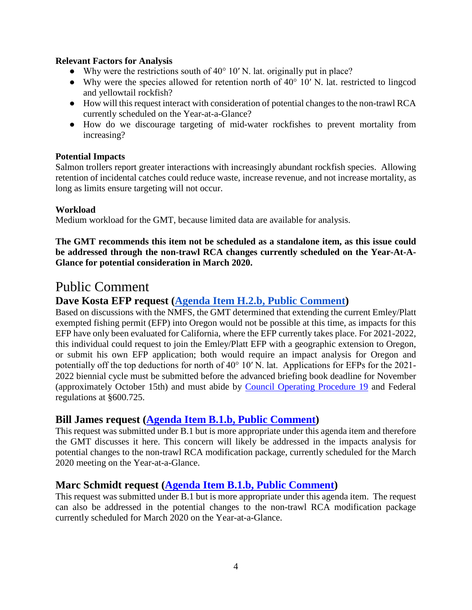#### **Relevant Factors for Analysis**

- Why were the restrictions south of  $40^{\circ}$  10' N. lat. originally put in place?
- Why were the species allowed for retention north of 40° 10′ N. lat. restricted to lingcod and yellowtail rockfish?
- How will this request interact with consideration of potential changes to the non-trawl RCA currently scheduled on the Year-at-a-Glance?
- How do we discourage targeting of mid-water rockfishes to prevent mortality from increasing?

#### **Potential Impacts**

Salmon trollers report greater interactions with increasingly abundant rockfish species. Allowing retention of incidental catches could reduce waste, increase revenue, and not increase mortality, as long as limits ensure targeting will not occur.

#### **Workload**

Medium workload for the GMT, because limited data are available for analysis.

**The GMT recommends this item not be scheduled as a standalone item, as this issue could be addressed through the non-trawl RCA changes currently scheduled on the Year-At-A-Glance for potential consideration in March 2020.** 

## Public Comment

## **Dave Kosta EFP request [\(Agenda Item H.2.b, Public Comment\)](https://pfmc.psmfc.org/CommentReview/DownloadFile?p=7971e5c2-9048-4104-99c6-f73779d5f6ea.pdf&fileName=H2_Captain%20David%20Kosta_Comments.pdf)**

Based on discussions with the NMFS, the GMT determined that extending the current Emley/Platt exempted fishing permit (EFP) into Oregon would not be possible at this time, as impacts for this EFP have only been evaluated for California, where the EFP currently takes place. For 2021-2022, this individual could request to join the Emley/Platt EFP with a geographic extension to Oregon, or submit his own EFP application; both would require an impact analysis for Oregon and potentially off the top deductions for north of 40° 10′ N. lat. Applications for EFPs for the 2021- 2022 biennial cycle must be submitted before the advanced briefing book deadline for November (approximately October 15th) and must abide by [Council Operating Procedure 19](https://www.pcouncil.org/wp-content/uploads/cop19.pdf) and Federal regulations at §600.725.

## **Bill James request [\(Agenda Item B.1.b, Public Comment\)](https://pfmc.psmfc.org/CommentReview/DownloadFile?p=5175294d-cf5e-4d96-82ed-c78ebac4b200.pdf&fileName=2019%20Gillnet%20Public%20Comment.pdf)**

This request was submitted under B.1 but is more appropriate under this agenda item and therefore the GMT discusses it here. This concern will likely be addressed in the impacts analysis for potential changes to the non-trawl RCA modification package, currently scheduled for the March 2020 meeting on the Year-at-a-Glance.

## **Marc Schmidt request [\(Agenda Item B.1.b, Public Comment\)](https://pfmc.psmfc.org/CommentReview/DownloadFile?p=166dccb3-c088-463c-9922-3e5641e9234b.pdf&fileName=B1_Marc%20Schmidt_Comments.pdf)**

This request was submitted under B.1 but is more appropriate under this agenda item. The request can also be addressed in the potential changes to the non-trawl RCA modification package currently scheduled for March 2020 on the Year-at-a-Glance.